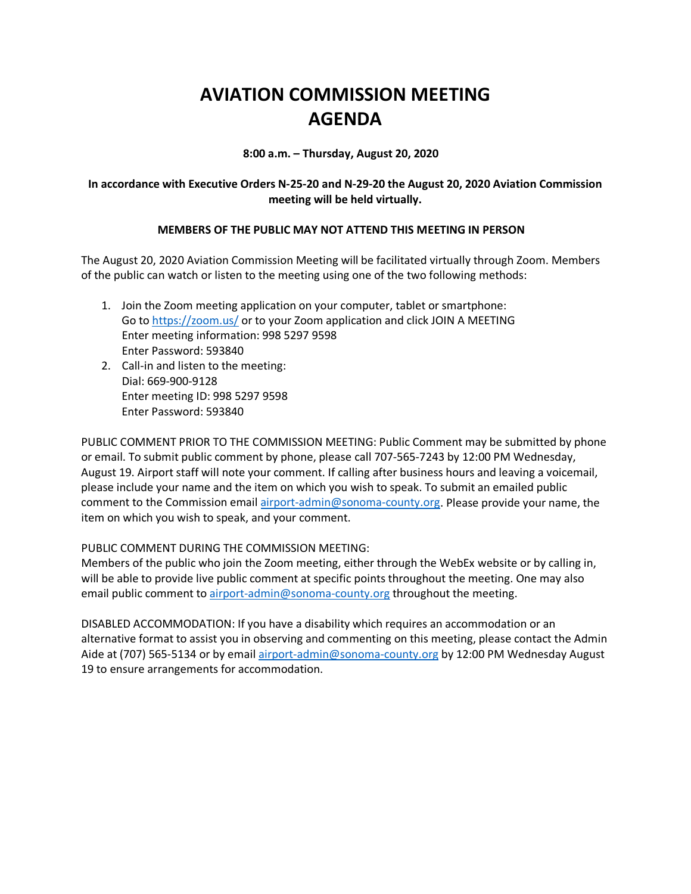# **AVIATION COMMISSION MEETING AGENDA**

**8:00 a.m. – Thursday, August 20, 2020**

### **In accordance with Executive Orders N-25-20 and N-29-20 the August 20, 2020 Aviation Commission meeting will be held virtually.**

### **MEMBERS OF THE PUBLIC MAY NOT ATTEND THIS MEETING IN PERSON**

The August 20, 2020 Aviation Commission Meeting will be facilitated virtually through Zoom. Members of the public can watch or listen to the meeting using one of the two following methods:

- 1. Join the Zoom meeting application on your computer, tablet or smartphone: Go to https://zoom.us/ or to your Zoom application and click JOIN A MEETING Enter meeting information: 998 5297 9598 Enter Password: 593840
- 2. Call-in and listen to the meeting: Dial: 669-900-9128 Enter meeting ID: 998 5297 9598 Enter Password: 593840

PUBLIC COMMENT PRIOR TO THE COMMISSION MEETING: Public Comment may be submitted by phone or email. To submit public comment by phone, please call 707-565-7243 by 12:00 PM Wednesday, August 19. Airport staff will note your comment. If calling after business hours and leaving a voicemail, please include your name and the item on which you wish to speak. To submit an emailed public comment to the Commission email airport-admin@sonoma-county.org. Please provide your name, the item on which you wish to speak, and your comment.

#### PUBLIC COMMENT DURING THE COMMISSION MEETING:

Members of the public who join the Zoom meeting, either through the WebEx website or by calling in, will be able to provide live public comment at specific points throughout the meeting. One may also email public comment to airport-admin@sonoma-county.org throughout the meeting.

DISABLED ACCOMMODATION: If you have a disability which requires an accommodation or an alternative format to assist you in observing and commenting on this meeting, please contact the Admin Aide at (707) 565-5134 or by email airport-admin@sonoma-county.org by 12:00 PM Wednesday August 19 to ensure arrangements for accommodation.